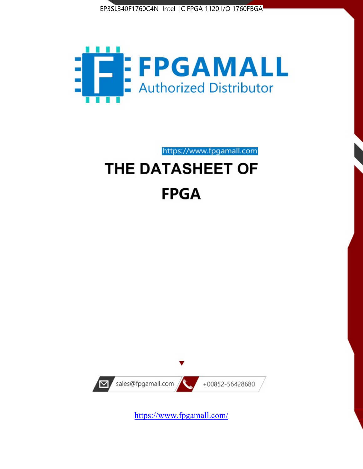



https://www.fpgamall.com THE DATASHEET OF

# **FPGA**



<https://www.fpgamall.com/>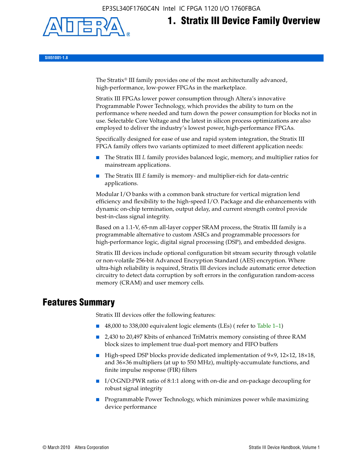EP3SL340F1760C4N Intel IC FPGA 1120 I/O 1760FBGA



# **1. Stratix III Device Family Overview**

**SIII51001-1.8**

The Stratix® III family provides one of the most architecturally advanced, high-performance, low-power FPGAs in the marketplace.

Stratix III FPGAs lower power consumption through Altera's innovative Programmable Power Technology, which provides the ability to turn on the performance where needed and turn down the power consumption for blocks not in use. Selectable Core Voltage and the latest in silicon process optimizations are also employed to deliver the industry's lowest power, high-performance FPGAs.

Specifically designed for ease of use and rapid system integration, the Stratix III FPGA family offers two variants optimized to meet different application needs:

- The Stratix III *L* family provides balanced logic, memory, and multiplier ratios for mainstream applications.
- The Stratix III *E* family is memory- and multiplier-rich for data-centric applications.

Modular I/O banks with a common bank structure for vertical migration lend efficiency and flexibility to the high-speed I/O. Package and die enhancements with dynamic on-chip termination, output delay, and current strength control provide best-in-class signal integrity.

Based on a 1.1-V, 65-nm all-layer copper SRAM process, the Stratix III family is a programmable alternative to custom ASICs and programmable processors for high-performance logic, digital signal processing (DSP), and embedded designs.

Stratix III devices include optional configuration bit stream security through volatile or non-volatile 256-bit Advanced Encryption Standard (AES) encryption. Where ultra-high reliability is required, Stratix III devices include automatic error detection circuitry to detect data corruption by soft errors in the configuration random-access memory (CRAM) and user memory cells.

# **Features Summary**

Stratix III devices offer the following features:

- 48,000 to 338,000 equivalent logic elements (LEs) (refer to Table 1–1)
- 2,430 to 20,497 Kbits of enhanced TriMatrix memory consisting of three RAM block sizes to implement true dual-port memory and FIFO buffers
- High-speed DSP blocks provide dedicated implementation of 9×9, 12×12, 18×18, and 36×36 multipliers (at up to 550 MHz), multiply-accumulate functions, and finite impulse response (FIR) filters
- I/O:GND:PWR ratio of 8:1:1 along with on-die and on-package decoupling for robust signal integrity
- Programmable Power Technology, which minimizes power while maximizing device performance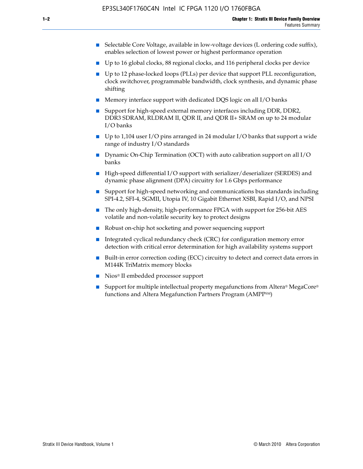- Selectable Core Voltage, available in low-voltage devices (L ordering code suffix), enables selection of lowest power or highest performance operation
- Up to 16 global clocks, 88 regional clocks, and 116 peripheral clocks per device
- Up to 12 phase-locked loops (PLLs) per device that support PLL reconfiguration, clock switchover, programmable bandwidth, clock synthesis, and dynamic phase shifting
- Memory interface support with dedicated DQS logic on all I/O banks
- Support for high-speed external memory interfaces including DDR, DDR2, DDR3 SDRAM, RLDRAM II, QDR II, and QDR II+ SRAM on up to 24 modular I/O banks
- Up to 1,104 user I/O pins arranged in 24 modular I/O banks that support a wide range of industry I/O standards
- Dynamic On-Chip Termination (OCT) with auto calibration support on all  $I/O$ banks
- High-speed differential I/O support with serializer/deserializer (SERDES) and dynamic phase alignment (DPA) circuitry for 1.6 Gbps performance
- Support for high-speed networking and communications bus standards including SPI-4.2, SFI-4, SGMII, Utopia IV, 10 Gigabit Ethernet XSBI, Rapid I/O, and NPSI
- The only high-density, high-performance FPGA with support for 256-bit AES volatile and non-volatile security key to protect designs
- Robust on-chip hot socketing and power sequencing support
- Integrated cyclical redundancy check (CRC) for configuration memory error detection with critical error determination for high availability systems support
- Built-in error correction coding (ECC) circuitry to detect and correct data errors in M144K TriMatrix memory blocks
- Nios<sup>®</sup> II embedded processor support
- Support for multiple intellectual property megafunctions from Altera® MegaCore® functions and Altera Megafunction Partners Program (AMPPSM)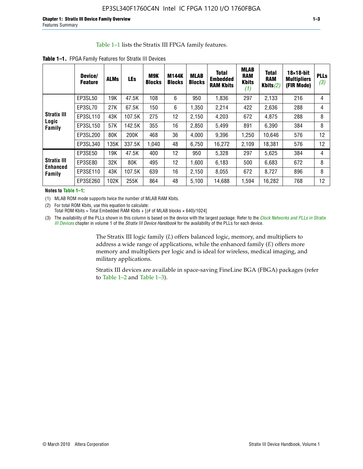#### Table 1–1 lists the Stratix III FPGA family features.

|  | Table 1-1. FPGA Family Features for Stratix III Devices |  |  |  |
|--|---------------------------------------------------------|--|--|--|
|--|---------------------------------------------------------|--|--|--|

|                                       | Device/<br><b>Feature</b> | <b>ALMs</b> | <b>LEs</b> | M9K<br><b>Blocks</b> | <b>M144K</b><br><b>Blocks</b> | <b>MLAB</b><br><b>Blocks</b> | <b>Total</b><br><b>Embedded</b><br><b>RAM Kbits</b> | <b>MLAB</b><br><b>RAM</b><br><b>Kbits</b><br>(1) | <b>Total</b><br><b>RAM</b><br>Kbits $(2)$ | $18\times18$ -bit<br><b>Multipliers</b><br>(FIR Mode) | <b>PLLs</b><br>(3) |
|---------------------------------------|---------------------------|-------------|------------|----------------------|-------------------------------|------------------------------|-----------------------------------------------------|--------------------------------------------------|-------------------------------------------|-------------------------------------------------------|--------------------|
|                                       | EP3SL50                   | 19K         | 47.5K      | 108                  | 6                             | 950                          | 1,836                                               | 297                                              | 2,133                                     | 216                                                   | 4                  |
|                                       | EP3SL70                   | 27K         | 67.5K      | 150                  | 6                             | 1,350                        | 2,214                                               | 422                                              | 2,636                                     | 288                                                   | 4                  |
| <b>Stratix III</b>                    | EP3SL110                  | 43K         | 107.5K     | 275                  | 12                            | 2,150                        | 4,203                                               | 672                                              | 4,875                                     | 288                                                   | 8                  |
| Logic<br>Family                       | EP3SL150                  | 57K         | 142.5K     | 355                  | 16                            | 2,850                        | 5,499                                               | 891                                              | 6,390                                     | 384                                                   | 8                  |
|                                       | EP3SL200                  | 80K         | 200K       | 468                  | 36                            | 4,000                        | 9,396                                               | 1,250                                            | 10,646                                    | 576                                                   | 12                 |
|                                       | EP3SL340                  | 135K        | 337.5K     | 1,040                | 48                            | 6,750                        | 16,272                                              | 2,109                                            | 18,381                                    | 576                                                   | 12                 |
|                                       | EP3SE50                   | 19K         | 47.5K      | 400                  | 12                            | 950                          | 5,328                                               | 297                                              | 5,625                                     | 384                                                   | 4                  |
| <b>Stratix III</b><br><b>Enhanced</b> | EP3SE80                   | 32K         | 80K        | 495                  | 12                            | 1.600                        | 6,183                                               | 500                                              | 6,683                                     | 672                                                   | 8                  |
| Family                                | EP3SE110                  | 43K         | 107.5K     | 639                  | 16                            | 2,150                        | 8,055                                               | 672                                              | 8,727                                     | 896                                                   | 8                  |
|                                       | EP3SE260                  | 102K        | 255K       | 864                  | 48                            | 5,100                        | 14,688                                              | 1,594                                            | 16,282                                    | 768                                                   | 12                 |

**Notes to Table 1–1:**

(1) MLAB ROM mode supports twice the number of MLAB RAM Kbits.

(2) For total ROM Kbits, use this equation to calculate: Total ROM Kbits = Total Embedded RAM Kbits +  $[(# of MLAB blocks × 640)/1024]$ 

(3) The availability of the PLLs shown in this column is based on the device with the largest package. Refer to the *[Clock Networks and PLLs in Stratix](http://www.altera.com/literature/hb/stx3/stx3_siii51006.pdf)  [III Devices](http://www.altera.com/literature/hb/stx3/stx3_siii51006.pdf)* chapter in volume 1 of the *Stratix III Device Handbook* for the availability of the PLLs for each device.

> The Stratix III logic family (*L*) offers balanced logic, memory, and multipliers to address a wide range of applications, while the enhanced family (*E*) offers more memory and multipliers per logic and is ideal for wireless, medical imaging, and military applications.

Stratix III devices are available in space-saving FineLine BGA (FBGA) packages (refer to Table 1–2 and Table 1–3).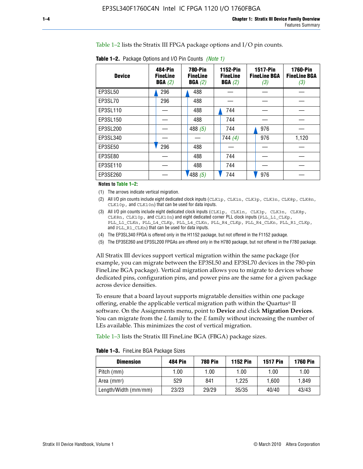Table 1–2 lists the Stratix III FPGA package options and I/O pin counts.

|  | <b>Table 1–2.</b> Package Options and I/O Pin Counts <i>(Note 1)</i> |        |  |
|--|----------------------------------------------------------------------|--------|--|
|  |                                                                      | --- -- |  |

| <b>Device</b> | 484-Pin<br><b>FineLine</b><br>BGA(2) | <b>780-Pin</b><br><b>FineLine</b><br>BGA(2) |           | 1152-Pin<br><b>FineLine</b><br>BGA(2) |       | <b>1517-Pin</b><br><b>FineLine BGA</b><br>(3) | <b>1760-Pin</b><br><b>FineLine BGA</b><br>(3) |
|---------------|--------------------------------------|---------------------------------------------|-----------|---------------------------------------|-------|-----------------------------------------------|-----------------------------------------------|
| EP3SL50       | 296                                  | 488                                         |           |                                       |       |                                               |                                               |
| EP3SL70       | 296                                  | 488                                         |           |                                       |       |                                               |                                               |
| EP3SL110      |                                      | 488                                         | 744       |                                       |       |                                               |                                               |
| EP3SL150      |                                      | 488                                         | 744       |                                       |       |                                               |                                               |
| EP3SL200      |                                      | 488 $(5)$                                   | 744       | 976                                   |       |                                               |                                               |
| EP3SL340      |                                      |                                             | 744 $(4)$ | 976                                   | 1,120 |                                               |                                               |
| EP3SE50       | 296                                  | 488                                         |           |                                       |       |                                               |                                               |
| EP3SE80       |                                      | 488                                         | 744       |                                       |       |                                               |                                               |
| EP3SE110      |                                      | 488                                         | 744       |                                       |       |                                               |                                               |
| EP3SE260      |                                      | /488 (5)                                    | 744       | 976                                   |       |                                               |                                               |

#### **Notes to Table 1–2:**

(1) The arrows indicate vertical migration.

- (2) All I/O pin counts include eight dedicated clock inputs (CLK1p, CLK1n, CLK3p, CLK3n, CLK8p, CLK8n, CLK10p, and CLK10n) that can be used for data inputs.
- (3) All I/O pin counts include eight dedicated clock inputs (CLK1p, CLK1n, CLK3p, CLK3n, CLK8p, CLK8n, CLK10p, and CLK10n) and eight dedicated corner PLL clock inputs (PLL\_L1\_CLKp, PLL\_L1\_CLKn, PLL\_L4\_CLKp, PLL\_L4\_CLKn, PLL\_R4\_CLKp, PLL\_R4\_CLKn, PLL\_R1\_CLKp, and PLL\_R1\_CLKn) that can be used for data inputs.
- (4) The EP3SL340 FPGA is offered only in the H1152 package, but not offered in the F1152 package.
- (5) The EP3SE260 and EP3SL200 FPGAs are offered only in the H780 package, but not offered in the F780 package.

All Stratix III devices support vertical migration within the same package (for example, you can migrate between the EP3SL50 and EP3SL70 devices in the 780-pin FineLine BGA package). Vertical migration allows you to migrate to devices whose dedicated pins, configuration pins, and power pins are the same for a given package across device densities.

To ensure that a board layout supports migratable densities within one package offering, enable the applicable vertical migration path within the Quartus® II software. On the Assignments menu, point to **Device** and click **Migration Devices**. You can migrate from the *L* family to the *E* family without increasing the number of LEs available. This minimizes the cost of vertical migration.

Table 1–3 lists the Stratix III FineLine BGA (FBGA) package sizes.

| <b>Table 1-3.</b> FineLine BGA Package Sizes |  |  |  |  |
|----------------------------------------------|--|--|--|--|
|----------------------------------------------|--|--|--|--|

| <b>Dimension</b>     | 484 Pin | 780 Pin | <b>1152 Pin</b> | <b>1517 Pin</b> | <b>1760 Pin</b> |
|----------------------|---------|---------|-----------------|-----------------|-----------------|
| Pitch (mm)           | 1.00    | 1.00    | 1.00            | 1.00            | 1.00            |
| Area $(mm^2)$        | 529     | 841     | 1.225           | 1.600           | 1.849           |
| Length/Width (mm/mm) | 23/23   | 29/29   | 35/35           | 40/40           | 43/43           |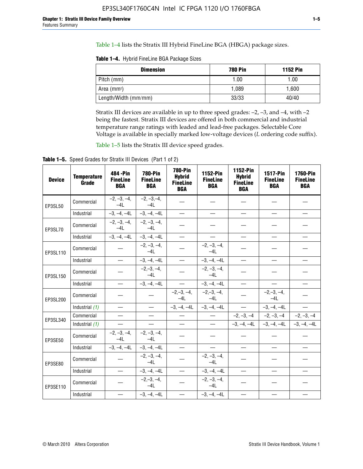Table 1–4 lists the Stratix III Hybrid FineLine BGA (HBGA) package sizes.

**Table 1–4.** Hybrid FineLine BGA Package Sizes

| <b>Dimension</b>     | <b>780 Pin</b> | <b>1152 Pin</b> |
|----------------------|----------------|-----------------|
| Pitch (mm)           | 1.00           | 1.00            |
| Area $(mm^2)$        | 1.089          | 1.600           |
| Length/Width (mm/mm) | 33/33          | 40/40           |

Stratix III devices are available in up to three speed grades: –2, –3, and –4, with –2 being the fastest. Stratix III devices are offered in both commercial and industrial temperature range ratings with leaded and lead-free packages. Selectable Core Voltage is available in specially marked low-voltage devices (*L* ordering code suffix).

Table 1–5 lists the Stratix III device speed grades.

Table 1-5. Speed Grades for Stratix III Devices (Part 1 of 2)

| <b>Device</b> | <b>Temperature</b><br>Grade | 484 - Pin<br><b>FineLine</b><br><b>BGA</b> | <b>780-Pin</b><br><b>FineLine</b><br><b>BGA</b> | <b>780-Pin</b><br><b>Hybrid</b><br><b>FineLine</b><br><b>BGA</b> | 1152-Pin<br><b>FineLine</b><br><b>BGA</b> | 1152-Pin<br><b>Hybrid</b><br><b>FineLine</b><br><b>BGA</b> | 1517-Pin<br><b>FineLine</b><br><b>BGA</b> | <b>1760-Pin</b><br><b>FineLine</b><br><b>BGA</b> |
|---------------|-----------------------------|--------------------------------------------|-------------------------------------------------|------------------------------------------------------------------|-------------------------------------------|------------------------------------------------------------|-------------------------------------------|--------------------------------------------------|
| EP3SL50       | Commercial                  | $-2, -3, -4,$<br>$-4L$                     | $-2, -3, -4,$<br>$-4L$                          |                                                                  |                                           |                                                            |                                           |                                                  |
|               | Industrial                  | $-3, -4, -4L$                              | $-3, -4, -4L$                                   | $\equiv$                                                         | $\equiv$                                  | $\overline{\phantom{0}}$                                   |                                           | $\overline{\phantom{0}}$                         |
| EP3SL70       | Commercial                  | $-2, -3, -4,$<br>$-4L$                     | $-2, -3, -4,$<br>$-41$                          |                                                                  |                                           |                                                            |                                           |                                                  |
|               | Industrial                  | $-3, -4, -4L$                              | $-3, -4, -4L$                                   | $\overbrace{\phantom{1232211}}$                                  |                                           | $\overline{\phantom{0}}$                                   | $\overline{\phantom{0}}$                  | $\overline{\phantom{0}}$                         |
| EP3SL110      | Commercial                  |                                            | $-2, -3, -4,$<br>$-4L$                          |                                                                  | $-2, -3, -4,$<br>$-4L$                    |                                                            |                                           |                                                  |
|               | Industrial                  | $\equiv$                                   | $-3, -4, -4L$                                   | $\frac{1}{1}$                                                    | $-3, -4, -4L$                             | $\frac{1}{2}$                                              |                                           | $\overline{\phantom{0}}$                         |
| EP3SL150      | Commercial                  |                                            | $-2, -3, -4,$<br>$-41$                          |                                                                  | $-2, -3, -4,$<br>$-41$                    |                                                            |                                           |                                                  |
|               | Industrial                  | $\overline{\phantom{m}}$                   | $-3, -4, -4L$                                   | $\equiv$                                                         | $-3, -4, -4L$                             | $\overline{\phantom{m}}$                                   |                                           | $\overbrace{\phantom{12322111}}$                 |
| EP3SL200      | Commercial                  |                                            |                                                 | $-2, -3, -4,$<br>$-4L$                                           | $-2, -3, -4,$<br>$-4L$                    |                                                            | $-2,-3,-4,$<br>$-4L$                      |                                                  |
|               | Industrial (1)              | $\equiv$                                   | $\equiv$                                        | $-3, -4, -4L$                                                    | $-3, -4, -4L$                             | $\equiv$                                                   | $-3, -4, -4L$                             | $\equiv$                                         |
| EP3SL340      | Commercial                  |                                            | $\equiv$                                        |                                                                  | $\overline{\phantom{m}}$                  |                                                            | $-2, -3, -4$ $-2, -3, -4$                 | $-2, -3, -4$                                     |
|               | Industrial (1)              |                                            | $\equiv$                                        | $\qquad \qquad -$                                                | $\overline{\phantom{0}}$                  |                                                            | $-3, -4, -4$ $-3, -4, -4$                 | $-3, -4, -4L$                                    |
| EP3SE50       | Commercial                  | $-2, -3, -4,$<br>$-4L$                     | $-2, -3, -4,$<br>$-4L$                          |                                                                  |                                           |                                                            |                                           |                                                  |
|               | Industrial                  | $-3, -4, -4L$                              | $-3, -4, -4L$                                   |                                                                  | $\overline{\phantom{0}}$                  |                                                            | $\overline{\phantom{0}}$                  | $\overline{\phantom{0}}$                         |
| EP3SE80       | Commercial                  |                                            | $-2, -3, -4,$<br>$-41$                          |                                                                  | $-2, -3, -4,$<br>$-4L$                    |                                                            |                                           |                                                  |
|               | Industrial                  | $\overline{\phantom{m}}$                   | $-3, -4, -4L$                                   |                                                                  | $-3, -4, -4L$                             |                                                            | $\equiv$                                  |                                                  |
| EP3SE110      | Commercial                  |                                            | $-2, -3, -4,$<br>$-4L$                          |                                                                  | $-2, -3, -4,$<br>$-4L$                    |                                                            |                                           |                                                  |
|               | Industrial                  |                                            | $-3, -4, -4L$                                   | $\equiv$                                                         | $-3, -4, -4L$                             |                                                            |                                           |                                                  |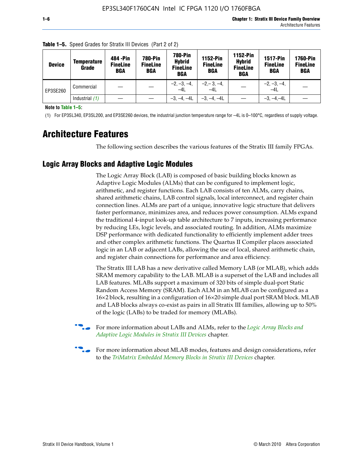| <b>Device</b> | Temperature<br>Grade | 484 - Pin<br><b>FineLine</b><br><b>BGA</b> | <b>780-Pin</b><br><b>FineLine</b><br>BGA | 780-Pin<br><b>Hybrid</b><br><b>FineLine</b><br><b>BGA</b> | 1152-Pin<br><b>FineLine</b><br><b>BGA</b> | 1152-Pin<br><b>Hybrid</b><br><b>FineLine</b><br><b>BGA</b> | <b>1517-Pin</b><br><b>FineLine</b><br>BGA | 1760-Pin<br><b>FineLine</b><br>BGA |
|---------------|----------------------|--------------------------------------------|------------------------------------------|-----------------------------------------------------------|-------------------------------------------|------------------------------------------------------------|-------------------------------------------|------------------------------------|
| EP3SE260      | Commercial           |                                            |                                          | $-2, -3, -4,$<br>$-4L$                                    | $-2, -3, -4,$<br>$-4L$                    |                                                            | $-2, -3, -4,$<br>$-4L$                    |                                    |
|               | Industrial $(1)$     |                                            |                                          | $-3, -4, -4L$                                             | $-3, -4, -4L$                             |                                                            | $-3, -4, -4L$                             |                                    |

**Table 1–5.** Speed Grades for Stratix III Devices (Part 2 of 2)

**Note to Table 1–5:**

(1) For EP3SL340, EP3SL200, and EP3SE260 devices, the industrial junction temperature range for –4L is 0–100°C, regardless of supply voltage.

# **Architecture Features**

The following section describes the various features of the Stratix III family FPGAs.

# **Logic Array Blocks and Adaptive Logic Modules**

The Logic Array Block (LAB) is composed of basic building blocks known as Adaptive Logic Modules (ALMs) that can be configured to implement logic, arithmetic, and register functions. Each LAB consists of ten ALMs, carry chains, shared arithmetic chains, LAB control signals, local interconnect, and register chain connection lines. ALMs are part of a unique, innovative logic structure that delivers faster performance, minimizes area, and reduces power consumption. ALMs expand the traditional 4-input look-up table architecture to 7 inputs, increasing performance by reducing LEs, logic levels, and associated routing. In addition, ALMs maximize DSP performance with dedicated functionality to efficiently implement adder trees and other complex arithmetic functions. The Quartus II Compiler places associated logic in an LAB or adjacent LABs, allowing the use of local, shared arithmetic chain, and register chain connections for performance and area efficiency.

The Stratix III LAB has a new derivative called Memory LAB (or MLAB), which adds SRAM memory capability to the LAB. MLAB is a superset of the LAB and includes all LAB features. MLABs support a maximum of 320 bits of simple dual-port Static Random Access Memory (SRAM). Each ALM in an MLAB can be configured as a 16×2 block, resulting in a configuration of 16×20 simple dual port SRAM block. MLAB and LAB blocks always co-exist as pairs in all Stratix III families, allowing up to 50% of the logic (LABs) to be traded for memory (MLABs).



f For more information about LABs and ALMs, refer to the *[Logic Array Blocks and](http://www.altera.com/literature/hb/stx3/stx3_siii51002.pdf)  [Adaptive Logic Modules in Stratix III Devices](http://www.altera.com/literature/hb/stx3/stx3_siii51002.pdf)* chapter.



For more information about MLAB modes, features and design considerations, refer to the *[TriMatrix Embedded Memory Blocks in Stratix III Devices](http://www.altera.com/literature/hb/stx3/stx3_siii51004.pdf)* chapter.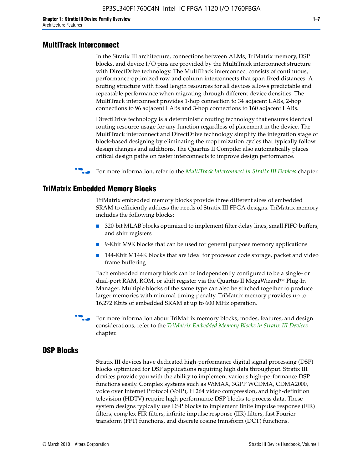#### **MultiTrack Interconnect**

In the Stratix III architecture, connections between ALMs, TriMatrix memory, DSP blocks, and device I/O pins are provided by the MultiTrack interconnect structure with DirectDrive technology. The MultiTrack interconnect consists of continuous, performance-optimized row and column interconnects that span fixed distances. A routing structure with fixed length resources for all devices allows predictable and repeatable performance when migrating through different device densities. The MultiTrack interconnect provides 1-hop connection to 34 adjacent LABs, 2-hop connections to 96 adjacent LABs and 3-hop connections to 160 adjacent LABs.

DirectDrive technology is a deterministic routing technology that ensures identical routing resource usage for any function regardless of placement in the device. The MultiTrack interconnect and DirectDrive technology simplify the integration stage of block-based designing by eliminating the reoptimization cycles that typically follow design changes and additions. The Quartus II Compiler also automatically places critical design paths on faster interconnects to improve design performance.

#### **For more information, refer to the** *[MultiTrack Interconnect in Stratix III Devices](http://www.altera.com/literature/hb/stx3/stx3_siii51003.pdf)* **chapter.**

#### **TriMatrix Embedded Memory Blocks**

TriMatrix embedded memory blocks provide three different sizes of embedded SRAM to efficiently address the needs of Stratix III FPGA designs. TriMatrix memory includes the following blocks:

- 320-bit MLAB blocks optimized to implement filter delay lines, small FIFO buffers, and shift registers
- 9-Kbit M9K blocks that can be used for general purpose memory applications
- 144-Kbit M144K blocks that are ideal for processor code storage, packet and video frame buffering

Each embedded memory block can be independently configured to be a single- or dual-port RAM, ROM, or shift register via the Quartus II MegaWizard™ Plug-In Manager. Multiple blocks of the same type can also be stitched together to produce larger memories with minimal timing penalty. TriMatrix memory provides up to 16,272 Kbits of embedded SRAM at up to 600 MHz operation.

For more information about TriMatrix memory blocks, modes, features, and design considerations, refer to the *[TriMatrix Embedded Memory Blocks in Stratix III Devices](http://www.altera.com/literature/hb/stx3/stx3_siii51004.pdf)* chapter.

#### **DSP Blocks**

Stratix III devices have dedicated high-performance digital signal processing (DSP) blocks optimized for DSP applications requiring high data throughput. Stratix III devices provide you with the ability to implement various high-performance DSP functions easily. Complex systems such as WiMAX, 3GPP WCDMA, CDMA2000, voice over Internet Protocol (VoIP), H.264 video compression, and high-definition television (HDTV) require high-performance DSP blocks to process data. These system designs typically use DSP blocks to implement finite impulse response (FIR) filters, complex FIR filters, infinite impulse response (IIR) filters, fast Fourier transform (FFT) functions, and discrete cosine transform (DCT) functions.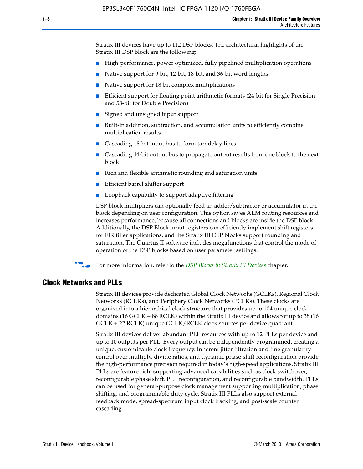Stratix III devices have up to 112 DSP blocks. The architectural highlights of the Stratix III DSP block are the following:

- High-performance, power optimized, fully pipelined multiplication operations
- Native support for 9-bit, 12-bit, 18-bit, and 36-bit word lengths
- Native support for 18-bit complex multiplications
- Efficient support for floating point arithmetic formats (24-bit for Single Precision and 53-bit for Double Precision)
- Signed and unsigned input support
- Built-in addition, subtraction, and accumulation units to efficiently combine multiplication results
- Cascading 18-bit input bus to form tap-delay lines
- Cascading 44-bit output bus to propagate output results from one block to the next block
- Rich and flexible arithmetic rounding and saturation units
- Efficient barrel shifter support
- Loopback capability to support adaptive filtering

DSP block multipliers can optionally feed an adder/subtractor or accumulator in the block depending on user configuration. This option saves ALM routing resources and increases performance, because all connections and blocks are inside the DSP block. Additionally, the DSP Block input registers can efficiently implement shift registers for FIR filter applications, and the Stratix III DSP blocks support rounding and saturation. The Quartus II software includes megafunctions that control the mode of operation of the DSP blocks based on user parameter settings.

f For more information, refer to the *[DSP Blocks in Stratix III Devices](http://www.altera.com/literature/hb/stx3/stx3_siii51005.pdf)* chapter.

#### **Clock Networks and PLLs**

Stratix III devices provide dedicated Global Clock Networks (GCLKs), Regional Clock Networks (RCLKs), and Periphery Clock Networks (PCLKs). These clocks are organized into a hierarchical clock structure that provides up to 104 unique clock domains (16 GCLK + 88 RCLK) within the Stratix III device and allows for up to 38 (16 GCLK + 22 RCLK) unique GCLK/RCLK clock sources per device quadrant.

Stratix III devices deliver abundant PLL resources with up to 12 PLLs per device and up to 10 outputs per PLL. Every output can be independently programmed, creating a unique, customizable clock frequency. Inherent jitter filtration and fine granularity control over multiply, divide ratios, and dynamic phase-shift reconfiguration provide the high-performance precision required in today's high-speed applications. Stratix III PLLs are feature rich, supporting advanced capabilities such as clock switchover, reconfigurable phase shift, PLL reconfiguration, and reconfigurable bandwidth. PLLs can be used for general-purpose clock management supporting multiplication, phase shifting, and programmable duty cycle. Stratix III PLLs also support external feedback mode, spread-spectrum input clock tracking, and post-scale counter cascading.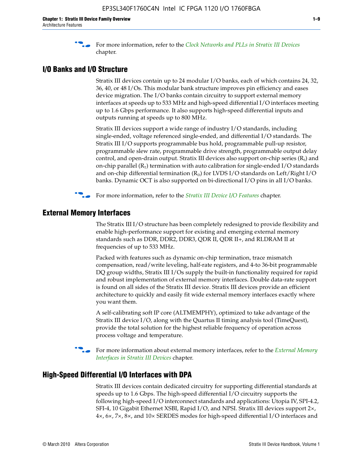f For more information, refer to the *[Clock Networks and PLLs in Stratix III Devices](http://www.altera.com/literature/hb/stx3/stx3_siii51006.pdf)* chapter.

## **I/O Banks and I/O Structure**

Stratix III devices contain up to 24 modular I/O banks, each of which contains 24, 32, 36, 40, or 48 I/Os. This modular bank structure improves pin efficiency and eases device migration. The I/O banks contain circuitry to support external memory interfaces at speeds up to 533 MHz and high-speed differential I/O interfaces meeting up to 1.6 Gbps performance. It also supports high-speed differential inputs and outputs running at speeds up to 800 MHz.

Stratix III devices support a wide range of industry I/O standards, including single-ended, voltage referenced single-ended, and differential I/O standards. The Stratix III I/O supports programmable bus hold, programmable pull-up resistor, programmable slew rate, programmable drive strength, programmable output delay control, and open-drain output. Stratix III devices also support on-chip series  $(R<sub>s</sub>)$  and on-chip parallel  $(R_T)$  termination with auto calibration for single-ended I/O standards and on-chip differential termination  $(R_D)$  for LVDS I/O standards on Left/Right I/O banks. Dynamic OCT is also supported on bi-directional I/O pins in all I/O banks.

**For more information, refer to the** *[Stratix III Device I/O Features](http://www.altera.com/literature/hb/stx3/stx3_siii51007.pdf)* **chapter.** 

# **External Memory Interfaces**

The Stratix III I/O structure has been completely redesigned to provide flexibility and enable high-performance support for existing and emerging external memory standards such as DDR, DDR2, DDR3, QDR II, QDR II+, and RLDRAM II at frequencies of up to 533 MHz.

Packed with features such as dynamic on-chip termination, trace mismatch compensation, read/write leveling, half-rate registers, and 4-to 36-bit programmable DQ group widths, Stratix III I/Os supply the built-in functionality required for rapid and robust implementation of external memory interfaces. Double data-rate support is found on all sides of the Stratix III device. Stratix III devices provide an efficient architecture to quickly and easily fit wide external memory interfaces exactly where you want them.

A self-calibrating soft IP core (ALTMEMPHY), optimized to take advantage of the Stratix III device I/O, along with the Quartus II timing analysis tool (TimeQuest), provide the total solution for the highest reliable frequency of operation across process voltage and temperature.

f For more information about external memory interfaces, refer to the *[External Memory](http://www.altera.com/literature/hb/stx3/stx3_siii51008.pdf)  [Interfaces in Stratix III Devices](http://www.altera.com/literature/hb/stx3/stx3_siii51008.pdf)* chapter.

#### **High-Speed Differential I/O Interfaces with DPA**

Stratix III devices contain dedicated circuitry for supporting differential standards at speeds up to 1.6 Gbps. The high-speed differential I/O circuitry supports the following high-speed I/O interconnect standards and applications: Utopia IV, SPI-4.2, SFI-4, 10 Gigabit Ethernet XSBI, Rapid I/O, and NPSI. Stratix III devices support 2×, 4×, 6×, 7×, 8×, and 10× SERDES modes for high-speed differential I/O interfaces and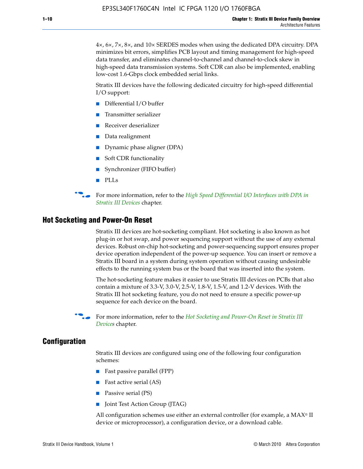4×, 6×, 7×, 8×, and 10× SERDES modes when using the dedicated DPA circuitry. DPA minimizes bit errors, simplifies PCB layout and timing management for high-speed data transfer, and eliminates channel-to-channel and channel-to-clock skew in high-speed data transmission systems. Soft CDR can also be implemented, enabling low-cost 1.6-Gbps clock embedded serial links.

Stratix III devices have the following dedicated circuitry for high-speed differential I/O support:

- Differential I/O buffer
- Transmitter serializer
- Receiver deserializer
- Data realignment
- Dynamic phase aligner (DPA)
- Soft CDR functionality
- Synchronizer (FIFO buffer)
- PLLs

**for more information, refer to the** *High Speed Differential I/O Interfaces with DPA in [Stratix III Devices](http://www.altera.com/literature/hb/stx3/stx3_siii51009.pdf)* chapter.

#### **Hot Socketing and Power-On Reset**

Stratix III devices are hot-socketing compliant. Hot socketing is also known as hot plug-in or hot swap, and power sequencing support without the use of any external devices. Robust on-chip hot-socketing and power-sequencing support ensures proper device operation independent of the power-up sequence. You can insert or remove a Stratix III board in a system during system operation without causing undesirable effects to the running system bus or the board that was inserted into the system.

The hot-socketing feature makes it easier to use Stratix III devices on PCBs that also contain a mixture of 3.3-V, 3.0-V, 2.5-V, 1.8-V, 1.5-V, and 1.2-V devices. With the Stratix III hot socketing feature, you do not need to ensure a specific power-up sequence for each device on the board.

f For more information, refer to the *[Hot Socketing and Power-On Reset in Stratix III](http://www.altera.com/literature/hb/stx3/stx3_siii51010.pdf)  [Device](http://www.altera.com/literature/hb/stx3/stx3_siii51010.pdf)s* chapter.

### **Configuration**

Stratix III devices are configured using one of the following four configuration schemes:

- Fast passive parallel (FPP)
- Fast active serial (AS)
- Passive serial (PS)
- Joint Test Action Group (JTAG)

All configuration schemes use either an external controller (for example, a  $MAX<sup>®</sup>$  II device or microprocessor), a configuration device, or a download cable.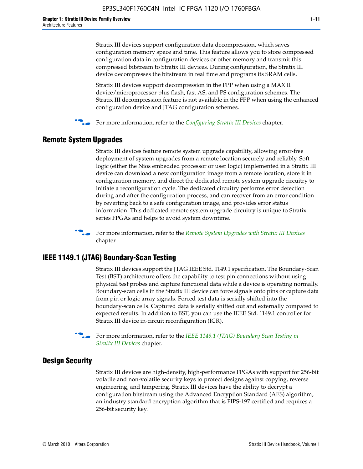Stratix III devices support configuration data decompression, which saves configuration memory space and time. This feature allows you to store compressed configuration data in configuration devices or other memory and transmit this compressed bitstream to Stratix III devices. During configuration, the Stratix III device decompresses the bitstream in real time and programs its SRAM cells.

Stratix III devices support decompression in the FPP when using a MAX II device/microprocessor plus flash, fast AS, and PS configuration schemes. The Stratix III decompression feature is not available in the FPP when using the enhanced configuration device and JTAG configuration schemes.

For more information, refer to the *[Configuring Stratix III Devices](http://www.altera.com/literature/hb/stx3/stx3_siii51011.pdf)* chapter.

# **Remote System Upgrades**

Stratix III devices feature remote system upgrade capability, allowing error-free deployment of system upgrades from a remote location securely and reliably. Soft logic (either the Nios embedded processor or user logic) implemented in a Stratix III device can download a new configuration image from a remote location, store it in configuration memory, and direct the dedicated remote system upgrade circuitry to initiate a reconfiguration cycle. The dedicated circuitry performs error detection during and after the configuration process, and can recover from an error condition by reverting back to a safe configuration image, and provides error status information. This dedicated remote system upgrade circuitry is unique to Stratix series FPGAs and helps to avoid system downtime.



**For more information, refer to the** *[Remote System Upgrades with Stratix III Devices](http://www.altera.com/literature/hb/stx3/stx3_siii51012.pdf)* chapter.

# **IEEE 1149.1 (JTAG) Boundary-Scan Testing**

Stratix III devices support the JTAG IEEE Std. 1149.1 specification. The Boundary-Scan Test (BST) architecture offers the capability to test pin connections without using physical test probes and capture functional data while a device is operating normally. Boundary-scan cells in the Stratix III device can force signals onto pins or capture data from pin or logic array signals. Forced test data is serially shifted into the boundary-scan cells. Captured data is serially shifted out and externally compared to expected results. In addition to BST, you can use the IEEE Std. 1149.1 controller for Stratix III device in-circuit reconfiguration (ICR).

For more information, refer to the *IEEE 1149.1 (JTAG) Boundary Scan Testing in [Stratix III Devices](http://www.altera.com/literature/hb/stx3/stx3_siii51013.pdf)* chapter.

# **Design Security**

Stratix III devices are high-density, high-performance FPGAs with support for 256-bit volatile and non-volatile security keys to protect designs against copying, reverse engineering, and tampering. Stratix III devices have the ability to decrypt a configuration bitstream using the Advanced Encryption Standard (AES) algorithm, an industry standard encryption algorithm that is FIPS-197 certified and requires a 256-bit security key.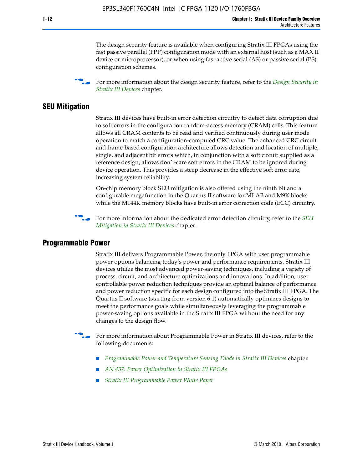The design security feature is available when configuring Stratix III FPGAs using the fast passive parallel (FPP) configuration mode with an external host (such as a MAX II device or microprocessor), or when using fast active serial (AS) or passive serial (PS) configuration schemes.

f For more information about the design security feature, refer to the *[Design Security in](http://www.altera.com/literature/hb/stx3/stx3_siii51014.pdf)  [Stratix III Devices](http://www.altera.com/literature/hb/stx3/stx3_siii51014.pdf)* chapter.

## **SEU Mitigation**

Stratix III devices have built-in error detection circuitry to detect data corruption due to soft errors in the configuration random-access memory (CRAM) cells. This feature allows all CRAM contents to be read and verified continuously during user mode operation to match a configuration-computed CRC value. The enhanced CRC circuit and frame-based configuration architecture allows detection and location of multiple, single, and adjacent bit errors which, in conjunction with a soft circuit supplied as a reference design, allows don't-care soft errors in the CRAM to be ignored during device operation. This provides a steep decrease in the effective soft error rate, increasing system reliability.

On-chip memory block SEU mitigation is also offered using the ninth bit and a configurable megafunction in the Quartus II software for MLAB and M9K blocks while the M144K memory blocks have built-in error correction code (ECC) circuitry.

For more information about the dedicated error detection circuitry, refer to the *SEU [Mitigation in Stratix III Devices](http://www.altera.com/literature/hb/stx3/stx3_siii51015.pdf)* chapter.

#### **Programmable Power**

Stratix III delivers Programmable Power, the only FPGA with user programmable power options balancing today's power and performance requirements. Stratix III devices utilize the most advanced power-saving techniques, including a variety of process, circuit, and architecture optimizations and innovations. In addition, user controllable power reduction techniques provide an optimal balance of performance and power reduction specific for each design configured into the Stratix III FPGA. The Quartus II software (starting from version 6.1) automatically optimizes designs to meet the performance goals while simultaneously leveraging the programmable power-saving options available in the Stratix III FPGA without the need for any changes to the design flow.

For more information about Programmable Power in Stratix III devices, refer to the following documents:

- *[Programmable Power and Temperature Sensing Diode in Stratix III Devices](http://www.altera.com/literature/hb/stx3/stx3_siii51016.pdf)* chapter
- *[AN 437: Power Optimization in Stratix III FPGAs](http://www.altera.com/literature/an/AN437.pdf)*
- *[Stratix III Programmable Power White Paper](http://www.altera.com/literature/wp/wp-01006.pdf)*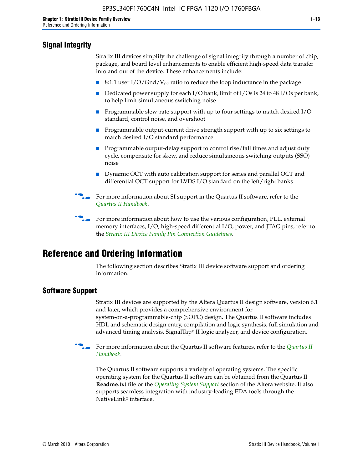# **Signal Integrity**

Stratix III devices simplify the challenge of signal integrity through a number of chip, package, and board level enhancements to enable efficient high-speed data transfer into and out of the device. These enhancements include:

- 8:1:1 user I/O/Gnd/V<sub>cc</sub> ratio to reduce the loop inductance in the package
- Dedicated power supply for each I/O bank, limit of I/Os is 24 to 48 I/Os per bank, to help limit simultaneous switching noise
- Programmable slew-rate support with up to four settings to match desired I/O standard, control noise, and overshoot
- Programmable output-current drive strength support with up to six settings to match desired I/O standard performance
- Programmable output-delay support to control rise/fall times and adjust duty cycle, compensate for skew, and reduce simultaneous switching outputs (SSO) noise
- Dynamic OCT with auto calibration support for series and parallel OCT and differential OCT support for LVDS I/O standard on the left/right banks
- For mor[e](http://www.altera.com/literature/hb/qts/quartusii_handbook.pdf) information about SI support in the Quartus II software, refer to the *[Quartus II Handbook](http://www.altera.com/literature/hb/qts/quartusii_handbook.pdf)*.

For more information about how to use the various configuration, PLL, external memory interfaces, I/O, high-speed differential I/O, power, and JTAG pins, refer to the *[Stratix III Device Family Pin Connection Guidelines](http://www.altera.com/literature/dp/stx3/PCG-01004.pdf)*.

# **Reference and Ordering Information**

The following section describes Stratix III device software support and ordering information.

# **Software Support**

Stratix III devices are supported by the Altera Quartus II design software, version 6.1 and later, which provides a comprehensive environment for system-on-a-programmable-chip (SOPC) design. The Quartus II software includes HDL and schematic design entry, compilation and logic synthesis, full simulation and advanced timing analysis, SignalTap® II logic analyzer, and device configuration.

**for more information about the [Quartus II](http://www.altera.com/literature/hb/qts/quartusii_handbook.pdf) software features, refer to the** *Quartus II* **<b>For all 2** *[Handbook](http://www.altera.com/literature/hb/qts/quartusii_handbook.pdf)*.

The Quartus II software supports a variety of operating systems. The specific operating system for the Quartus II software can be obtained from the Quartus II **Readme.txt** file or the *[Operating System Support](http://www.altera.com/support/software/os_support/oss-index.html)* section of the Altera website. It also supports seamless integration with industry-leading EDA tools through the NativeLink® interface.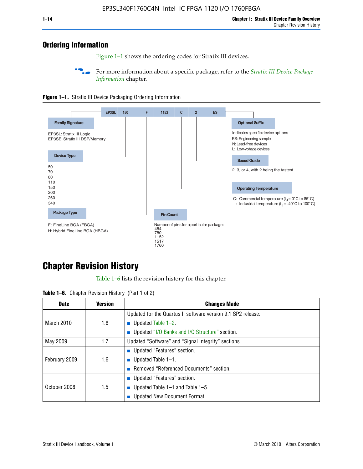# **Ordering Information**

Figure 1–1 shows the ordering codes for Stratix III devices.

For more information about a specific package, refer to the *Stratix III Device Package [Information](http://www.altera.com/literature/hb/stx3/stx3_siii51017.pdf)* chapter.





# **[C](http://www.altera.com/literature/hb/stx3/stx3_siii51012.pdf)hapter Revision History**

Table 1–6 lists the revision history for this chapter.

| <b>Table 1–6.</b> Chapter Revision History (Part 1 of 2) |  |  |  |  |  |
|----------------------------------------------------------|--|--|--|--|--|
|----------------------------------------------------------|--|--|--|--|--|

| <b>Date</b>       | <b>Version</b> | <b>Changes Made</b>                                          |
|-------------------|----------------|--------------------------------------------------------------|
|                   |                | Updated for the Quartus II software version 9.1 SP2 release: |
| <b>March 2010</b> | 1.8            | <b>u</b> Updated Table $1-2$ .                               |
|                   |                | ■ Updated "I/O Banks and I/O Structure" section.             |
| May 2009          | 1.7            | Updated "Software" and "Signal Integrity" sections.          |
|                   |                | ■ Updated "Features" section.                                |
| February 2009     | 1.6            | <b>u</b> Updated Table $1-1$ .                               |
|                   |                | Removed "Referenced Documents" section.                      |
|                   |                | ■ Updated "Features" section.                                |
| October 2008      | 1.5            | ■ Updated Table $1-1$ and Table $1-5$ .                      |
|                   |                | Updated New Document Format.                                 |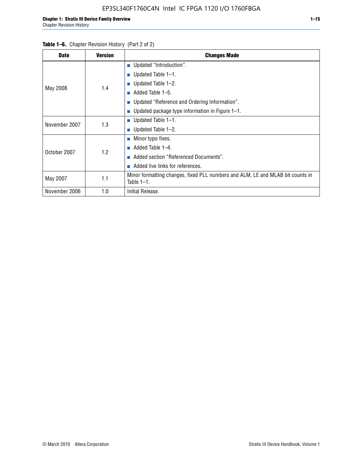#### Table 1–6. Chapter Revision History (Part 2 of 2)

| <b>Date</b>   | <b>Version</b> | <b>Changes Made</b>                                                                             |
|---------------|----------------|-------------------------------------------------------------------------------------------------|
|               |                | <b>Updated "Introduction".</b>                                                                  |
|               |                | $\blacksquare$ Updated Table 1-1.                                                               |
|               |                | ■ Updated Table $1-2$ .                                                                         |
| May 2008      | 1.4            | Added Table 1-5.<br>m.                                                                          |
|               |                | ■ Updated "Reference and Ordering Information".                                                 |
|               |                | ■ Updated package type information in Figure $1-1$ .                                            |
| November 2007 | 1.3            | $\blacksquare$ Updated Table 1-1.                                                               |
|               |                | ■ Updated Table $1-2$ .                                                                         |
|               |                | $\blacksquare$ Minor typo fixes.                                                                |
| October 2007  | 1.2            | Added Table 1-4.                                                                                |
|               |                | Added section "Referenced Documents".                                                           |
|               |                | Added live links for references.                                                                |
| May 2007      | 1.1            | Minor formatting changes, fixed PLL numbers and ALM, LE and MLAB bit counts in<br>Table $1-1$ . |
| November 2006 | 1.0            | Initial Release.                                                                                |